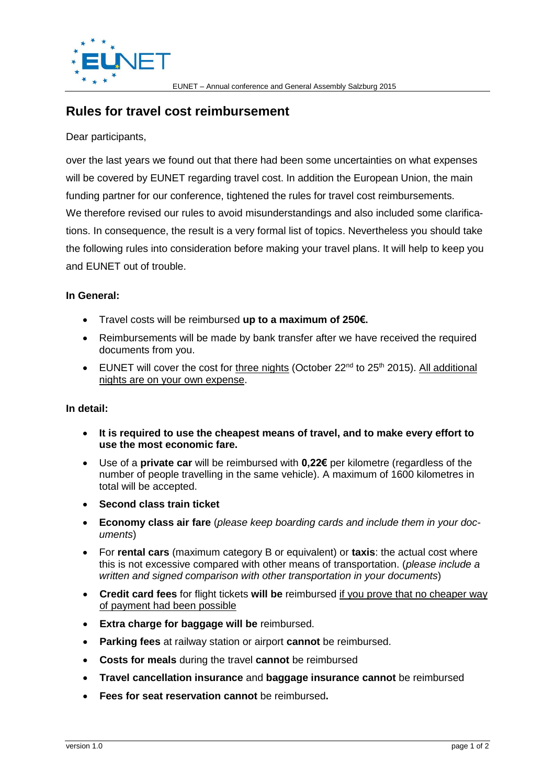

## **Rules for travel cost reimbursement**

Dear participants,

over the last years we found out that there had been some uncertainties on what expenses will be covered by EUNET regarding travel cost. In addition the European Union, the main funding partner for our conference, tightened the rules for travel cost reimbursements. We therefore revised our rules to avoid misunderstandings and also included some clarifications. In consequence, the result is a very formal list of topics. Nevertheless you should take the following rules into consideration before making your travel plans. It will help to keep you and EUNET out of trouble.

## **In General:**

- Travel costs will be reimbursed **up to a maximum of 250€.**
- Reimbursements will be made by bank transfer after we have received the required documents from you.
- EUNET will cover the cost for three nights (October  $22^{nd}$  to  $25^{th}$  2015). All additional nights are on your own expense.

## **In detail:**

- **It is required to use the cheapest means of travel, and to make every effort to use the most economic fare.**
- Use of a **private car** will be reimbursed with **0,22€** per kilometre (regardless of the number of people travelling in the same vehicle). A maximum of 1600 kilometres in total will be accepted.
- **Second class train ticket**
- **Economy class air fare** (*please keep boarding cards and include them in your documents*)
- For **rental cars** (maximum category B or equivalent) or **taxis**: the actual cost where this is not excessive compared with other means of transportation. (*please include a written and signed comparison with other transportation in your documents*)
- **Credit card fees** for flight tickets **will be** reimbursed if you prove that no cheaper way of payment had been possible
- **Extra charge for baggage will be** reimbursed.
- **Parking fees** at railway station or airport **cannot** be reimbursed.
- **Costs for meals** during the travel **cannot** be reimbursed
- **Travel cancellation insurance** and **baggage insurance cannot** be reimbursed
- **Fees for seat reservation cannot** be reimbursed**.**